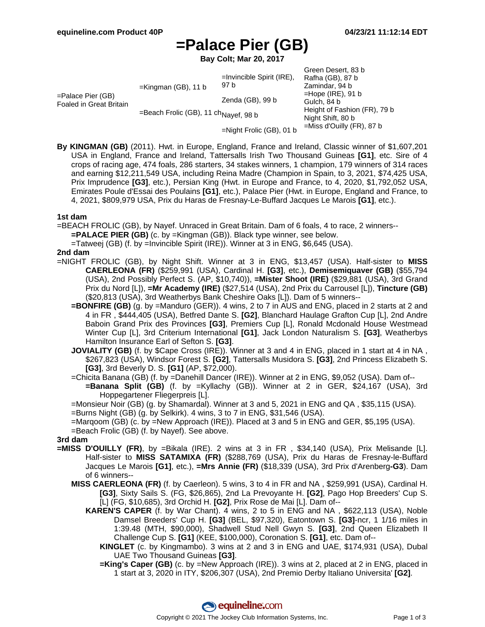# **=Palace Pier (GB)**

**Bay Colt; Mar 20, 2017**

| $=$ Palace Pier (GB)<br><b>Foaled in Great Britain</b> | $=$ Kingman (GB), 11 b                           | $=$ Invincible Spirit (IRE),<br>97 b | Green Desert, 83 b<br>Rafha (GB), 87 b<br>Zamindar, 94 b<br>$=$ Hope (IRE), 91 b<br>Gulch, 84 b |
|--------------------------------------------------------|--------------------------------------------------|--------------------------------------|-------------------------------------------------------------------------------------------------|
|                                                        |                                                  | Zenda (GB), 99 b                     |                                                                                                 |
|                                                        | =Beach Frolic (GB), 11 ch <sub>Nayef,</sub> 98 b |                                      | Height of Fashion (FR), 79 b<br>Night Shift, 80 b                                               |
|                                                        |                                                  | $=Night$ Frolic (GB), 01 b           | $=$ Miss d'Ouilly (FR), 87 b                                                                    |

**By KINGMAN (GB)** (2011). Hwt. in Europe, England, France and Ireland, Classic winner of \$1,607,201 USA in England, France and Ireland, Tattersalls Irish Two Thousand Guineas **[G1]**, etc. Sire of 4 crops of racing age, 474 foals, 286 starters, 34 stakes winners, 1 champion, 179 winners of 314 races and earning \$12,211,549 USA, including Reina Madre (Champion in Spain, to 3, 2021, \$74,425 USA, Prix Imprudence **[G3]**, etc.), Persian King (Hwt. in Europe and France, to 4, 2020, \$1,792,052 USA, Emirates Poule d'Essai des Poulains **[G1]**, etc.), Palace Pier (Hwt. in Europe, England and France, to 4, 2021, \$809,979 USA, Prix du Haras de Fresnay-Le-Buffard Jacques Le Marois **[G1]**, etc.).

#### **1st dam**

=BEACH FROLIC (GB), by Nayef. Unraced in Great Britain. Dam of 6 foals, 4 to race, 2 winners--

**=PALACE PIER (GB)** (c. by =Kingman (GB)). Black type winner, see below.

=Tatweej (GB) (f. by =Invincible Spirit (IRE)). Winner at 3 in ENG, \$6,645 (USA).

### **2nd dam**

- =NIGHT FROLIC (GB), by Night Shift. Winner at 3 in ENG, \$13,457 (USA). Half-sister to **MISS CAERLEONA (FR)** (\$259,991 (USA), Cardinal H. **[G3]**, etc.), **Demisemiquaver (GB)** (\$55,794 (USA), 2nd Possibly Perfect S. (AP, \$10,740)), **=Mister Shoot (IRE)** (\$29,881 (USA), 3rd Grand Prix du Nord [L]), **=Mr Academy (IRE)** (\$27,514 (USA), 2nd Prix du Carrousel [L]), **Tincture (GB)** (\$20,813 (USA), 3rd Weatherbys Bank Cheshire Oaks [L]). Dam of 5 winners--
	- **=BONFIRE (GB)** (g. by =Manduro (GER)). 4 wins, 2 to 7 in AUS and ENG, placed in 2 starts at 2 and 4 in FR , \$444,405 (USA), Betfred Dante S. **[G2]**, Blanchard Haulage Grafton Cup [L], 2nd Andre Baboin Grand Prix des Provinces **[G3]**, Premiers Cup [L], Ronald Mcdonald House Westmead Winter Cup [L], 3rd Criterium International **[G1]**, Jack London Naturalism S. **[G3]**, Weatherbys Hamilton Insurance Earl of Sefton S. **[G3]**.
	- **JOVIALITY (GB)** (f. by \$Cape Cross (IRE)). Winner at 3 and 4 in ENG, placed in 1 start at 4 in NA, \$267,823 (USA), Windsor Forest S. **[G2]**, Tattersalls Musidora S. **[G3]**, 2nd Princess Elizabeth S. **[G3]**, 3rd Beverly D. S. **[G1]** (AP, \$72,000).
	- =Chicita Banana (GB) (f. by =Danehill Dancer (IRE)). Winner at 2 in ENG, \$9,052 (USA). Dam of-- **=Banana Split (GB)** (f. by =Kyllachy (GB)). Winner at 2 in GER, \$24,167 (USA), 3rd Hoppegartener Fliegerpreis [L].
	- =Monsieur Noir (GB) (g. by Shamardal). Winner at 3 and 5, 2021 in ENG and QA , \$35,115 (USA).

=Burns Night (GB) (g. by Selkirk). 4 wins, 3 to 7 in ENG, \$31,546 (USA).

- =Marqoom (GB) (c. by =New Approach (IRE)). Placed at 3 and 5 in ENG and GER, \$5,195 (USA).
- =Beach Frolic (GB) (f. by Nayef). See above.

### **3rd dam**

- **=MISS D'OUILLY (FR)**, by =Bikala (IRE). 2 wins at 3 in FR , \$34,140 (USA), Prix Melisande [L]. Half-sister to **MISS SATAMIXA (FR)** (\$288,769 (USA), Prix du Haras de Fresnay-le-Buffard Jacques Le Marois **[G1]**, etc.), **=Mrs Annie (FR)** (\$18,339 (USA), 3rd Prix d'Arenberg**-G3**). Dam of 6 winners--
	- **MISS CAERLEONA (FR)** (f. by Caerleon). 5 wins, 3 to 4 in FR and NA , \$259,991 (USA), Cardinal H. **[G3]**, Sixty Sails S. (FG, \$26,865), 2nd La Prevoyante H. **[G2]**, Pago Hop Breeders' Cup S. [L] (FG, \$10,685), 3rd Orchid H. **[G2]**, Prix Rose de Mai [L]. Dam of--
		- **KAREN'S CAPER** (f. by War Chant). 4 wins, 2 to 5 in ENG and NA , \$622,113 (USA), Noble Damsel Breeders' Cup H. **[G3]** (BEL, \$97,320), Eatontown S. **[G3]**-ncr, 1 1/16 miles in 1:39.48 (MTH, \$90,000), Shadwell Stud Nell Gwyn S. **[G3]**, 2nd Queen Elizabeth II Challenge Cup S. **[G1]** (KEE, \$100,000), Coronation S. **[G1]**, etc. Dam of--
			- **KINGLET** (c. by Kingmambo). 3 wins at 2 and 3 in ENG and UAE, \$174,931 (USA), Dubal UAE Two Thousand Guineas **[G3]**.
			- **=King's Caper (GB)** (c. by =New Approach (IRE)). 3 wins at 2, placed at 2 in ENG, placed in 1 start at 3, 2020 in ITY, \$206,307 (USA), 2nd Premio Derby Italiano Universita' **[G2]**.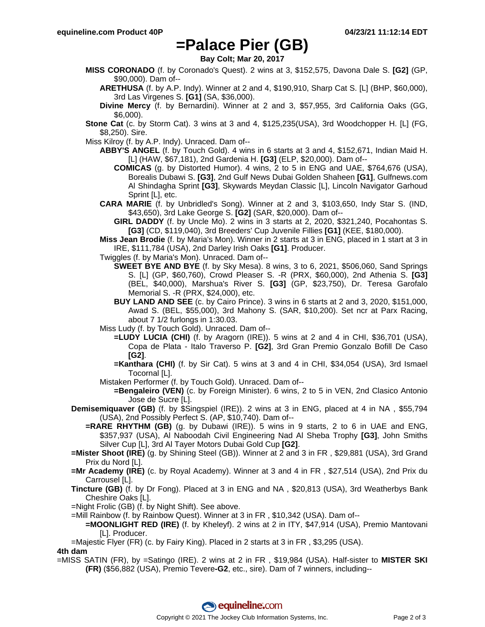# **=Palace Pier (GB)**

**Bay Colt; Mar 20, 2017**

- **MISS CORONADO** (f. by Coronado's Quest). 2 wins at 3, \$152,575, Davona Dale S. **[G2]** (GP, \$90,000). Dam of--
	- **ARETHUSA** (f. by A.P. Indy). Winner at 2 and 4, \$190,910, Sharp Cat S. [L] (BHP, \$60,000), 3rd Las Virgenes S. **[G1]** (SA, \$36,000).
	- **Divine Mercy** (f. by Bernardini). Winner at 2 and 3, \$57,955, 3rd California Oaks (GG, \$6,000).
- **Stone Cat** (c. by Storm Cat). 3 wins at 3 and 4, \$125,235(USA), 3rd Woodchopper H. [L] (FG, \$8,250). Sire.
- Miss Kilroy (f. by A.P. Indy). Unraced. Dam of--
	- **ABBY'S ANGEL** (f. by Touch Gold). 4 wins in 6 starts at 3 and 4, \$152,671, Indian Maid H. [L] (HAW, \$67,181), 2nd Gardenia H. **[G3]** (ELP, \$20,000). Dam of--
		- **COMICAS** (g. by Distorted Humor). 4 wins, 2 to 5 in ENG and UAE, \$764,676 (USA), Borealis Dubawi S. **[G3]**, 2nd Gulf News Dubai Golden Shaheen **[G1]**, Gulfnews.com Al Shindagha Sprint **[G3]**, Skywards Meydan Classic [L], Lincoln Navigator Garhoud Sprint [L], etc.
	- **CARA MARIE** (f. by Unbridled's Song). Winner at 2 and 3, \$103,650, Indy Star S. (IND, \$43,650), 3rd Lake George S. **[G2]** (SAR, \$20,000). Dam of--
		- **GIRL DADDY** (f. by Uncle Mo). 2 wins in 3 starts at 2, 2020, \$321,240, Pocahontas S. **[G3]** (CD, \$119,040), 3rd Breeders' Cup Juvenile Fillies **[G1]** (KEE, \$180,000).
	- **Miss Jean Brodie** (f. by Maria's Mon). Winner in 2 starts at 3 in ENG, placed in 1 start at 3 in IRE, \$111,784 (USA), 2nd Darley Irish Oaks **[G1]**. Producer.
	- Twiggles (f. by Maria's Mon). Unraced. Dam of--
		- **SWEET BYE AND BYE** (f. by Sky Mesa). 8 wins, 3 to 6, 2021, \$506,060, Sand Springs S. [L] (GP, \$60,760), Crowd Pleaser S. -R (PRX, \$60,000), 2nd Athenia S. **[G3]** (BEL, \$40,000), Marshua's River S. **[G3]** (GP, \$23,750), Dr. Teresa Garofalo Memorial S. -R (PRX, \$24,000), etc.
		- **BUY LAND AND SEE** (c. by Cairo Prince). 3 wins in 6 starts at 2 and 3, 2020, \$151,000, Awad S. (BEL, \$55,000), 3rd Mahony S. (SAR, \$10,200). Set ncr at Parx Racing, about 7 1/2 furlongs in 1:30.03.
	- Miss Ludy (f. by Touch Gold). Unraced. Dam of--
		- **=LUDY LUCIA (CHI)** (f. by Aragorn (IRE)). 5 wins at 2 and 4 in CHI, \$36,701 (USA), Copa de Plata - Italo Traverso P. **[G2]**, 3rd Gran Premio Gonzalo Bofill De Caso **[G2]**.
		- **=Kanthara (CHI)** (f. by Sir Cat). 5 wins at 3 and 4 in CHI, \$34,054 (USA), 3rd Ismael Tocornal [L].
	- Mistaken Performer (f. by Touch Gold). Unraced. Dam of--
		- **=Bengaleiro (VEN)** (c. by Foreign Minister). 6 wins, 2 to 5 in VEN, 2nd Clasico Antonio Jose de Sucre [L].
- **Demisemiquaver (GB)** (f. by \$Singspiel (IRE)). 2 wins at 3 in ENG, placed at 4 in NA , \$55,794 (USA), 2nd Possibly Perfect S. (AP, \$10,740). Dam of--
	- **=RARE RHYTHM (GB)** (g. by Dubawi (IRE)). 5 wins in 9 starts, 2 to 6 in UAE and ENG, \$357,937 (USA), Al Naboodah Civil Engineering Nad Al Sheba Trophy **[G3]**, John Smiths Silver Cup [L], 3rd Al Tayer Motors Dubai Gold Cup **[G2]**.
- **=Mister Shoot (IRE)** (g. by Shining Steel (GB)). Winner at 2 and 3 in FR , \$29,881 (USA), 3rd Grand Prix du Nord [L].
- **=Mr Academy (IRE)** (c. by Royal Academy). Winner at 3 and 4 in FR, \$27,514 (USA), 2nd Prix du Carrousel [L].
- **Tincture (GB)** (f. by Dr Fong). Placed at 3 in ENG and NA , \$20,813 (USA), 3rd Weatherbys Bank Cheshire Oaks [L].
- =Night Frolic (GB) (f. by Night Shift). See above.
- =Mill Rainbow (f. by Rainbow Quest). Winner at 3 in FR , \$10,342 (USA). Dam of--
	- **=MOONLIGHT RED (IRE)** (f. by Kheleyf). 2 wins at 2 in ITY, \$47,914 (USA), Premio Mantovani [L]. Producer.
- =Majestic Flyer (FR) (c. by Fairy King). Placed in 2 starts at 3 in FR , \$3,295 (USA).

#### **4th dam**

=MISS SATIN (FR), by =Satingo (IRE). 2 wins at 2 in FR , \$19,984 (USA). Half-sister to **MISTER SKI (FR)** (\$56,882 (USA), Premio Tevere**-G2**, etc., sire). Dam of 7 winners, including--